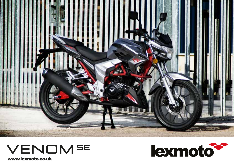